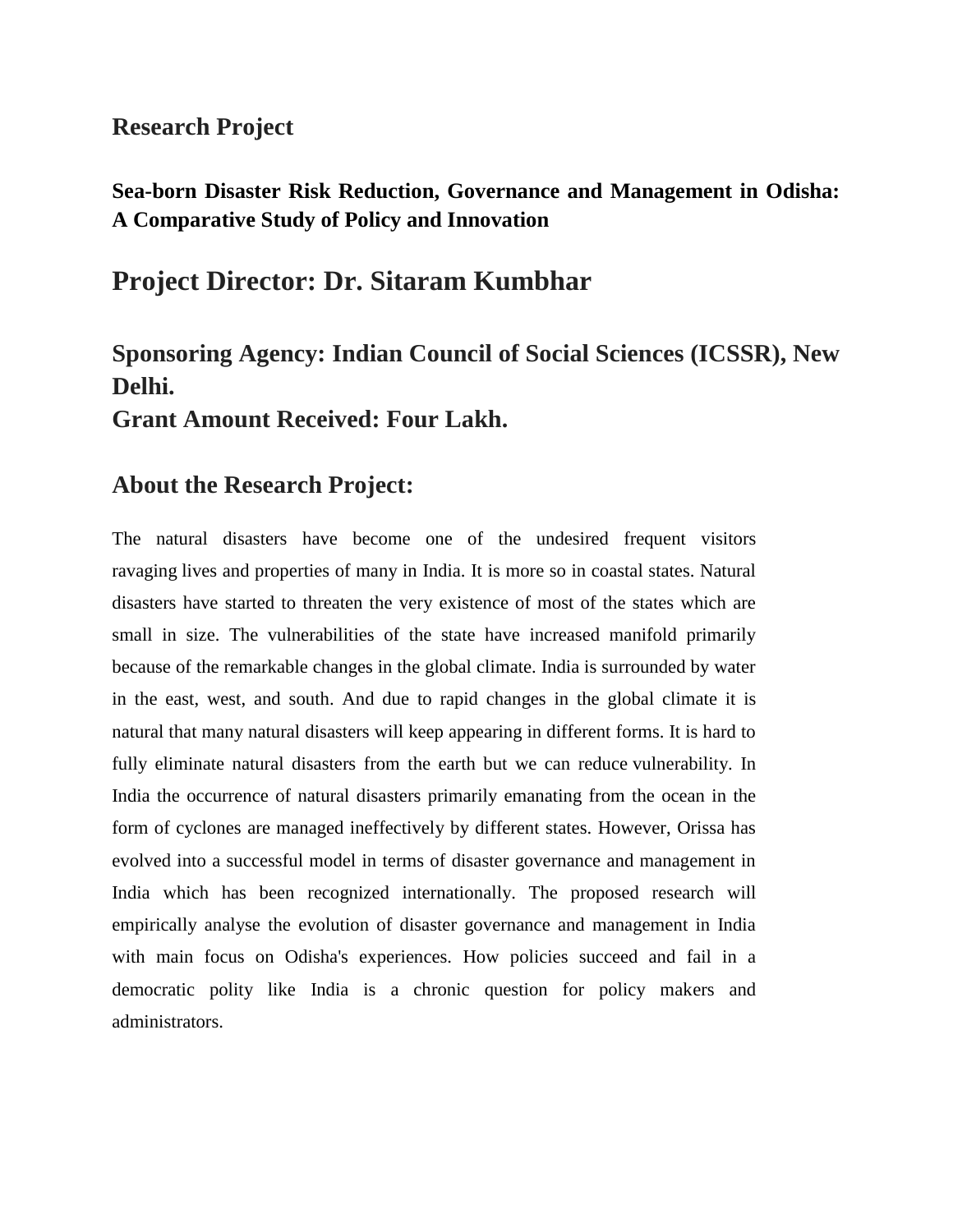### **Research Project**

## **Sea-born Disaster Risk Reduction, Governance and Management in Odisha: A Comparative Study of Policy and Innovation**

## **Project Director: Dr. Sitaram Kumbhar**

# **Sponsoring Agency: Indian Council of Social Sciences (ICSSR), New Delhi.**

**Grant Amount Received: Four Lakh.**

## **About the Research Project:**

The natural disasters have become one of the undesired frequent visitors ravaging lives and properties of many in India. It is more so in coastal states. Natural disasters have started to threaten the very existence of most of the states which are small in size. The vulnerabilities of the state have increased manifold primarily because of the remarkable changes in the global climate. India is surrounded by water in the east, west, and south. And due to rapid changes in the global climate it is natural that many natural disasters will keep appearing in different forms. It is hard to fully eliminate natural disasters from the earth but we can reduce vulnerability. In India the occurrence of natural disasters primarily emanating from the ocean in the form of cyclones are managed ineffectively by different states. However, Orissa has evolved into a successful model in terms of disaster governance and management in India which has been recognized internationally. The proposed research will empirically analyse the evolution of disaster governance and management in India with main focus on Odisha's experiences. How policies succeed and fail in a democratic polity like India is a chronic question for policy makers and administrators.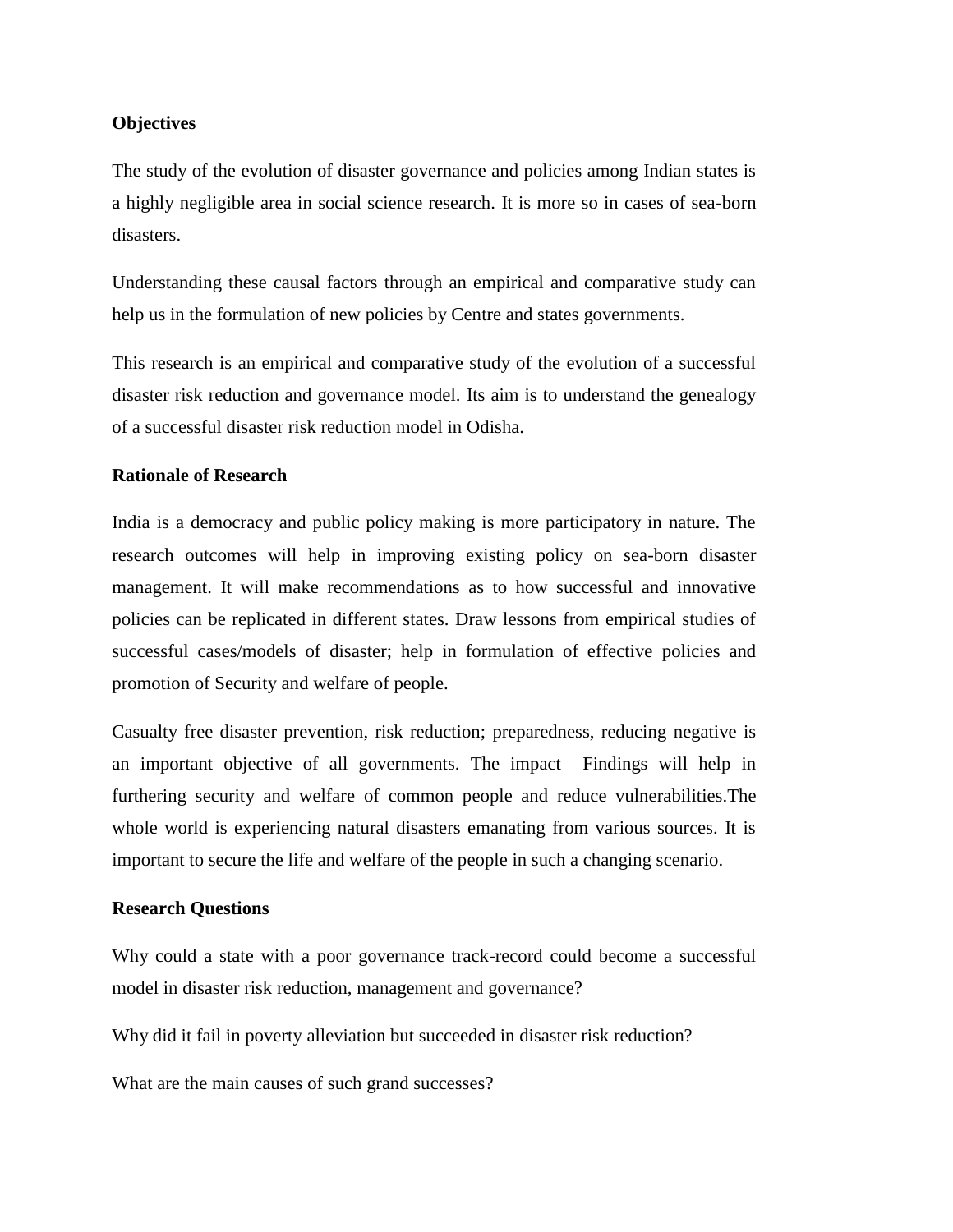#### **Objectives**

The study of the evolution of disaster governance and policies among Indian states is a highly negligible area in social science research. It is more so in cases of sea-born disasters.

Understanding these causal factors through an empirical and comparative study can help us in the formulation of new policies by Centre and states governments.

This research is an empirical and comparative study of the evolution of a successful disaster risk reduction and governance model. Its aim is to understand the genealogy of a successful disaster risk reduction model in Odisha.

#### **Rationale of Research**

India is a democracy and public policy making is more participatory in nature. The research outcomes will help in improving existing policy on sea-born disaster management. It will make recommendations as to how successful and innovative policies can be replicated in different states. Draw lessons from empirical studies of successful cases/models of disaster; help in formulation of effective policies and promotion of Security and welfare of people.

Casualty free disaster prevention, risk reduction; preparedness, reducing negative is an important objective of all governments. The impact Findings will help in furthering security and welfare of common people and reduce vulnerabilities.The whole world is experiencing natural disasters emanating from various sources. It is important to secure the life and welfare of the people in such a changing scenario.

#### **Research Questions**

Why could a state with a poor governance track-record could become a successful model in disaster risk reduction, management and governance?

Why did it fail in poverty alleviation but succeeded in disaster risk reduction?

What are the main causes of such grand successes?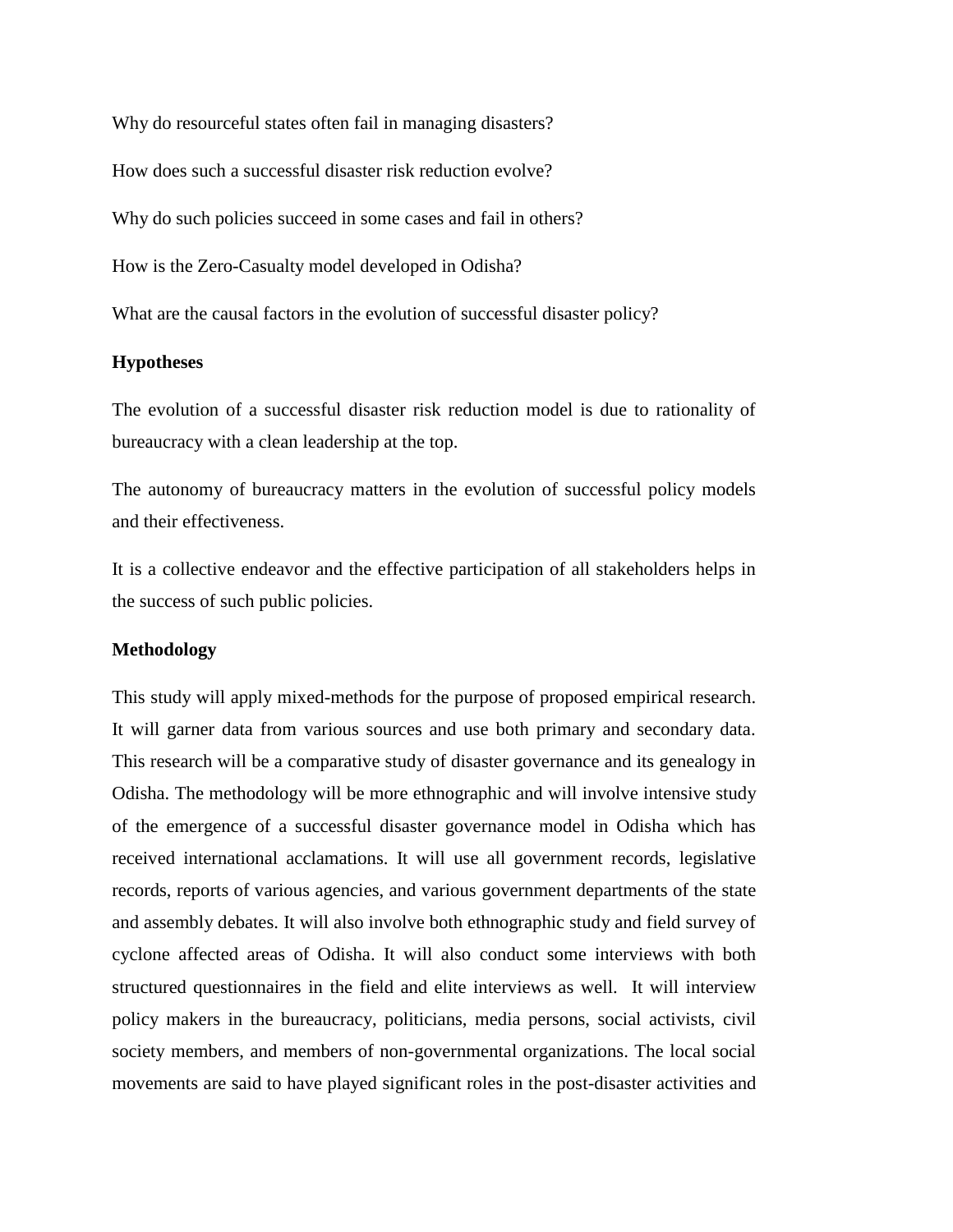Why do resourceful states often fail in managing disasters?

How does such a successful disaster risk reduction evolve?

Why do such policies succeed in some cases and fail in others?

How is the Zero-Casualty model developed in Odisha?

What are the causal factors in the evolution of successful disaster policy?

#### **Hypotheses**

The evolution of a successful disaster risk reduction model is due to rationality of bureaucracy with a clean leadership at the top.

The autonomy of bureaucracy matters in the evolution of successful policy models and their effectiveness.

It is a collective endeavor and the effective participation of all stakeholders helps in the success of such public policies.

#### **Methodology**

This study will apply mixed-methods for the purpose of proposed empirical research. It will garner data from various sources and use both primary and secondary data. This research will be a comparative study of disaster governance and its genealogy in Odisha. The methodology will be more ethnographic and will involve intensive study of the emergence of a successful disaster governance model in Odisha which has received international acclamations. It will use all government records, legislative records, reports of various agencies, and various government departments of the state and assembly debates. It will also involve both ethnographic study and field survey of cyclone affected areas of Odisha. It will also conduct some interviews with both structured questionnaires in the field and elite interviews as well. It will interview policy makers in the bureaucracy, politicians, media persons, social activists, civil society members, and members of non-governmental organizations. The local social movements are said to have played significant roles in the post-disaster activities and